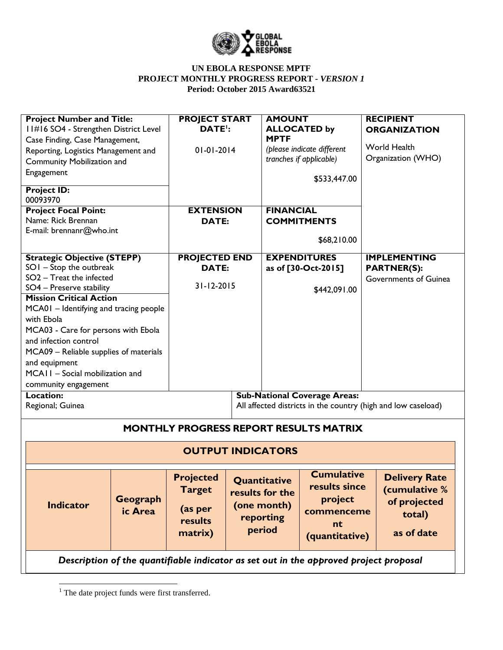

| <b>Project Number and Title:</b><br>11#16 SO4 - Strengthen District Level<br>Case Finding, Case Management,<br>Reporting, Logistics Management and<br>Community Mobilization and<br>Engagement<br><b>Project ID:</b>                                                                                                                                                                                                   |                          | <b>PROJECT START</b><br>DATE <sup>'</sup> :<br>$01 - 01 - 2014$    |  | <b>AMOUNT</b><br><b>MPTF</b>                                                                                                                                 | <b>ALLOCATED by</b><br>(please indicate different<br>tranches if applicable)<br>\$533,447.00 | <b>RECIPIENT</b><br><b>ORGANIZATION</b><br>World Health<br>Organization (WHO) |                                                                               |
|------------------------------------------------------------------------------------------------------------------------------------------------------------------------------------------------------------------------------------------------------------------------------------------------------------------------------------------------------------------------------------------------------------------------|--------------------------|--------------------------------------------------------------------|--|--------------------------------------------------------------------------------------------------------------------------------------------------------------|----------------------------------------------------------------------------------------------|-------------------------------------------------------------------------------|-------------------------------------------------------------------------------|
| 00093970<br><b>Project Focal Point:</b><br>Name: Rick Brennan<br>E-mail: brennanr@who.int                                                                                                                                                                                                                                                                                                                              |                          | <b>EXTENSION</b><br><b>DATE:</b>                                   |  | <b>FINANCIAL</b><br><b>COMMITMENTS</b><br>\$68,210.00                                                                                                        |                                                                                              |                                                                               |                                                                               |
| <b>Strategic Objective (STEPP)</b><br>$SOI - Stop$ the outbreak<br>$SO2$ – Treat the infected<br>SO4 - Preserve stability<br><b>Mission Critical Action</b><br>MCA01 - Identifying and tracing people<br>with Ebola<br>MCA03 - Care for persons with Ebola<br>and infection control<br>MCA09 - Reliable supplies of materials<br>and equipment<br>MCAII - Social mobilization and<br>community engagement<br>Location: |                          | <b>PROJECTED END</b><br><b>DATE:</b><br>31-12-2015                 |  | <b>EXPENDITURES</b><br>as of [30-Oct-2015]<br>\$442,091.00<br><b>Sub-National Coverage Areas:</b>                                                            |                                                                                              | <b>IMPLEMENTING</b><br><b>PARTNER(S):</b><br>Governments of Guinea            |                                                                               |
| Regional; Guinea                                                                                                                                                                                                                                                                                                                                                                                                       |                          |                                                                    |  | All affected districts in the country (high and low caseload)                                                                                                |                                                                                              |                                                                               |                                                                               |
| <b>MONTHLY PROGRESS REPORT RESULTS MATRIX</b>                                                                                                                                                                                                                                                                                                                                                                          |                          |                                                                    |  |                                                                                                                                                              |                                                                                              |                                                                               |                                                                               |
|                                                                                                                                                                                                                                                                                                                                                                                                                        | <b>OUTPUT INDICATORS</b> |                                                                    |  |                                                                                                                                                              |                                                                                              |                                                                               |                                                                               |
| <b>Indicator</b>                                                                                                                                                                                                                                                                                                                                                                                                       | Geograph<br>ic Area      | <b>Projected</b><br><b>Target</b><br>(as per<br>results<br>matrix) |  | <b>Cumulative</b><br>Quantitative<br>results since<br>results for the<br>project<br>(one month)<br>commenceme<br>reporting<br>nt<br>period<br>(quantitative) |                                                                                              |                                                                               | <b>Delivery Rate</b><br>(cumulative %<br>of projected<br>total)<br>as of date |
| Description of the quantifiable indicator as set out in the approved project proposal                                                                                                                                                                                                                                                                                                                                  |                          |                                                                    |  |                                                                                                                                                              |                                                                                              |                                                                               |                                                                               |

 $\overline{\phantom{a}}$ 

 $<sup>1</sup>$  The date project funds were first transferred.</sup>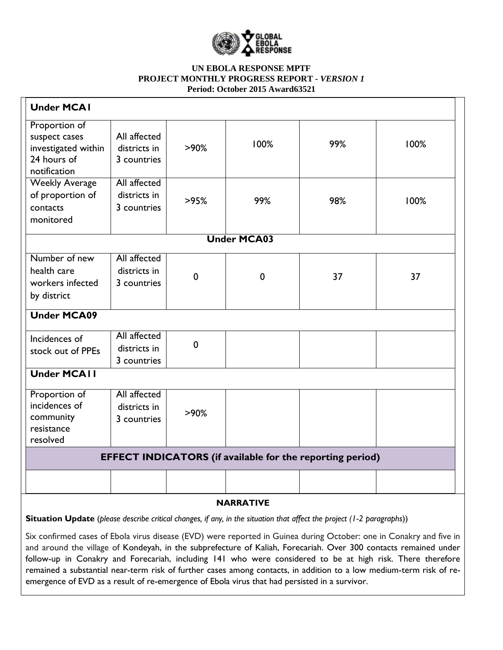

| <b>Under MCAI</b>                                                                    |                                             |             |             |     |      |
|--------------------------------------------------------------------------------------|---------------------------------------------|-------------|-------------|-----|------|
| Proportion of<br>suspect cases<br>investigated within<br>24 hours of<br>notification | All affected<br>districts in<br>3 countries | $>90\%$     | 100%        | 99% | 100% |
| <b>Weekly Average</b><br>of proportion of<br>contacts<br>monitored                   | All affected<br>districts in<br>3 countries | >95%        | 99%         | 98% | 100% |
| <b>Under MCA03</b>                                                                   |                                             |             |             |     |      |
| Number of new<br>health care<br>workers infected<br>by district                      | All affected<br>districts in<br>3 countries | $\mathbf 0$ | $\mathbf 0$ | 37  | 37   |
| <b>Under MCA09</b>                                                                   |                                             |             |             |     |      |
| Incidences of<br>stock out of PPEs                                                   | All affected<br>districts in<br>3 countries | $\mathbf 0$ |             |     |      |
| <b>Under MCAII</b>                                                                   |                                             |             |             |     |      |
| Proportion of<br>incidences of<br>community<br>resistance                            | All affected<br>districts in<br>3 countries | >90%        |             |     |      |
| resolved<br><b>EFFECT INDICATORS</b> (if available for the reporting period)         |                                             |             |             |     |      |
|                                                                                      |                                             |             |             |     |      |
| <b>NIADDATIVE</b>                                                                    |                                             |             |             |     |      |

# **NARRATIVE**

**Situation Update** (*please describe critical changes, if any, in the situation that affect the project (1-2 paragraphs*))

Six confirmed cases of Ebola virus disease (EVD) were reported in Guinea during October: one in Conakry and five in and around the village of Kondeyah, in the subprefecture of Kaliah, Forecariah. Over 300 contacts remained under follow-up in Conakry and Forecariah, including 141 who were considered to be at high risk. There therefore remained a substantial near-term risk of further cases among contacts, in addition to a low medium-term risk of reemergence of EVD as a result of re-emergence of Ebola virus that had persisted in a survivor.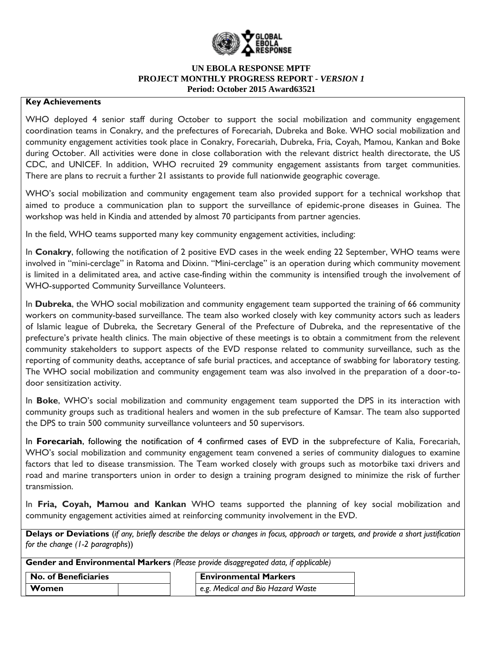

#### **Key Achievements**

WHO deployed 4 senior staff during October to support the social mobilization and community engagement coordination teams in Conakry, and the prefectures of Forecariah, Dubreka and Boke. WHO social mobilization and community engagement activities took place in Conakry, Forecariah, Dubreka, Fria, Coyah, Mamou, Kankan and Boke during October. All activities were done in close collaboration with the relevant district health directorate, the US CDC, and UNICEF. In addition, WHO recruited 29 community engagement assistants from target communities. There are plans to recruit a further 21 assistants to provide full nationwide geographic coverage.

WHO's social mobilization and community engagement team also provided support for a technical workshop that aimed to produce a communication plan to support the surveillance of epidemic-prone diseases in Guinea. The workshop was held in Kindia and attended by almost 70 participants from partner agencies.

In the field, WHO teams supported many key community engagement activities, including:

In **Conakry**, following the notification of 2 positive EVD cases in the week ending 22 September, WHO teams were involved in "mini-cerclage" in Ratoma and Dixinn. "Mini-cerclage" is an operation during which community movement is limited in a delimitated area, and active case-finding within the community is intensified trough the involvement of WHO-supported Community Surveillance Volunteers.

In **Dubreka**, the WHO social mobilization and community engagement team supported the training of 66 community workers on community-based surveillance. The team also worked closely with key community actors such as leaders of Islamic league of Dubreka, the Secretary General of the Prefecture of Dubreka, and the representative of the prefecture's private health clinics. The main objective of these meetings is to obtain a commitment from the relevent community stakeholders to support aspects of the EVD response related to community surveillance, such as the reporting of community deaths, acceptance of safe burial practices, and acceptance of swabbing for laboratory testing. The WHO social mobilization and community engagement team was also involved in the preparation of a door-todoor sensitization activity.

In **Boke**, WHO's social mobilization and community engagement team supported the DPS in its interaction with community groups such as traditional healers and women in the sub prefecture of Kamsar. The team also supported the DPS to train 500 community surveillance volunteers and 50 supervisors.

In **Forecariah**, following the notification of 4 confirmed cases of EVD in the subprefecture of Kalia, Forecariah, WHO's social mobilization and community engagement team convened a series of community dialogues to examine factors that led to disease transmission. The Team worked closely with groups such as motorbike taxi drivers and road and marine transporters union in order to design a training program designed to minimize the risk of further transmission.

In **Fria, Coyah, Mamou and Kankan** WHO teams supported the planning of key social mobilization and community engagement activities aimed at reinforcing community involvement in the EVD.

**Delays or Deviations** (*if any, briefly describe the delays or changes in focus, approach or targets, and provide a short justification for the change (1-2 paragraphs*))

**Gender and Environmental Markers** *(Please provide disaggregated data, if applicable)*

| <b>No. of Beneficiaries</b> | <b>Environmental Markers</b>      |
|-----------------------------|-----------------------------------|
| Women                       | e.g. Medical and Bio Hazard Waste |